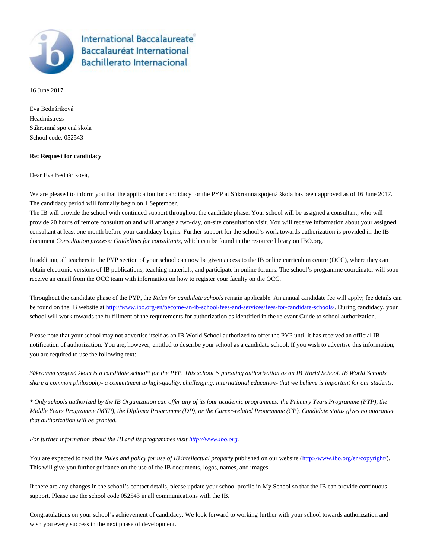

**International Baccalaureate Baccalauréat International Bachillerato Internacional** 

16 June 2017

Eva Bednáriková Headmistress Súkromná spojená škola School code: 052543

## **Re: Request for candidacy**

Dear Eva Bednáriková,

We are pleased to inform you that the application for candidacy for the PYP at Súkromná spojená škola has been approved as of 16 June 2017. The candidacy period will formally begin on 1 September.

The IB will provide the school with continued support throughout the candidate phase. Your school will be assigned a consultant, who will provide 20 hours of remote consultation and will arrange a two-day, on-site consultation visit. You will receive information about your assigned consultant at least one month before your candidacy begins. Further support for the school's work towards authorization is provided in the IB document *Consultation process: Guidelines for consultants*, which can be found in the resource library on IBO.org.

In addition, all teachers in the PYP section of your school can now be given access to the IB online curriculum centre (OCC), where they can obtain electronic versions of IB publications, teaching materials, and participate in online forums. The school's programme coordinator will soon receive an email from the OCC team with information on how to register your faculty on the OCC.

Throughout the candidate phase of the PYP, the *Rules for candidate schools* remain applicable. An annual candidate fee will apply; fee details can be found on the IB website at http://www.jbo.org/en/become-an-ib-school/fees-and-services/fees-for-candidate-schools/. During candidacy, your school will work towards the fulfillment of the requirements for authorization as identified in the relevant Guide to school authorization.

Please note that your school may not advertise itself as an IB World School authorized to offer the PYP until it has received an official IB notification of authorization. You are, however, entitled to describe your school as a candidate school. If you wish to advertise this information, you are required to use the following text:

*Súkromná spojená škola is a candidate school\* for the PYP. This school is pursuing authorization as an IB World School. IB World Schools share a common philosophy- a commitment to high-quality, challenging, international education- that we believe is important for our students.*

*\* Only schools authorized by the IB Organization can offer any of its four academic programmes: the Primary Years Programme (PYP), the Middle Years Programme (MYP), the Diploma Programme (DP), or the Career-related Programme (CP). Candidate status gives no guarantee that authorization will be granted.*

*For further information about the IB and its programmes visit [http://www.ibo.org.](http://www.ibo.org)*

You are expected to read the *Rules and policy for use of IB intellectual property* published on our website (<http://www.ibo.org/en/copyright/>). This will give you further guidance on the use of the IB documents, logos, names, and images.

If there are any changes in the school's contact details, please update your school profile in My School so that the IB can provide continuous support. Please use the school code 052543 in all communications with the IB.

Congratulations on your school's achievement of candidacy. We look forward to working further with your school towards authorization and wish you every success in the next phase of development.